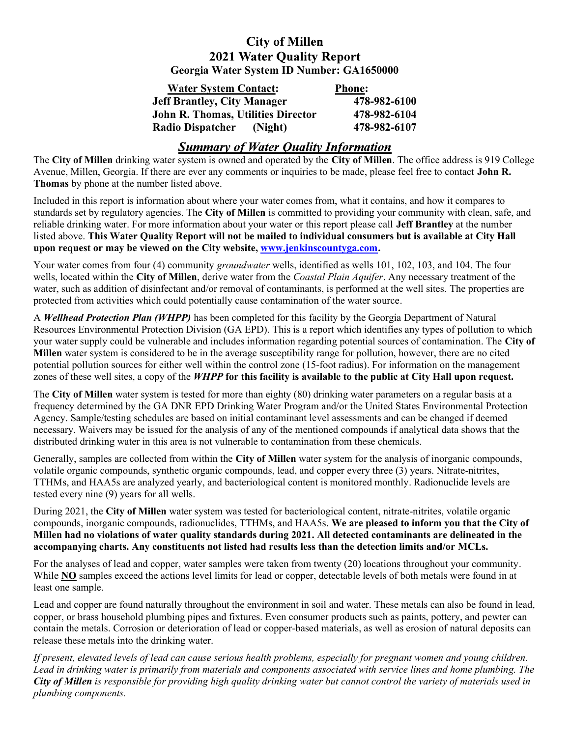#### **City of Millen 2021 Water Quality Report** Georgia Water System ID Number: GA1650000

| <b>Water System Contact:</b>              | <b>Phone:</b> |
|-------------------------------------------|---------------|
| <b>Jeff Brantley, City Manager</b>        | 478-982-6100  |
| <b>John R. Thomas, Utilities Director</b> | 478-982-6104  |
| <b>Radio Dispatcher</b><br>(Night)        | 478-982-6107  |

## **Summary of Water Quality Information**

The City of Millen drinking water system is owned and operated by the City of Millen. The office address is 919 College Avenue, Millen, Georgia. If there are ever any comments or inquiries to be made, please feel free to contact **John R.** Thomas by phone at the number listed above.

Included in this report is information about where your water comes from, what it contains, and how it compares to standards set by regulatory agencies. The City of Millen is committed to providing your community with clean, safe, and reliable drinking water. For more information about your water or this report please call Jeff Brantley at the number listed above. This Water Quality Report will not be mailed to individual consumers but is available at City Hall upon request or may be viewed on the City website, www.jenkinscountyga.com.

Your water comes from four (4) community *groundwater* wells, identified as wells 101, 102, 103, and 104. The four wells, located within the City of Millen, derive water from the *Coastal Plain Aquifer*. Any necessary treatment of the water, such as addition of disinfectant and/or removal of contaminants, is performed at the well sites. The properties are protected from activities which could potentially cause contamination of the water source.

A Wellhead Protection Plan (WHPP) has been completed for this facility by the Georgia Department of Natural Resources Environmental Protection Division (GA EPD). This is a report which identifies any types of pollution to which your water supply could be vulnerable and includes information regarding potential sources of contamination. The City of Millen water system is considered to be in the average susceptibility range for pollution, however, there are no cited potential pollution sources for either well within the control zone (15-foot radius). For information on the management zones of these well sites, a copy of the WHPP for this facility is available to the public at City Hall upon request.

The City of Millen water system is tested for more than eighty (80) drinking water parameters on a regular basis at a frequency determined by the GA DNR EPD Drinking Water Program and/or the United States Environmental Protection Agency. Sample/testing schedules are based on initial contaminant level assessments and can be changed if deemed necessary. Waivers may be issued for the analysis of any of the mentioned compounds if analytical data shows that the distributed drinking water in this area is not vulnerable to contamination from these chemicals.

Generally, samples are collected from within the City of Millen water system for the analysis of inorganic compounds, volatile organic compounds, synthetic organic compounds, lead, and copper every three (3) years. Nitrate-nitrites, TTHMs, and HAA5s are analyzed yearly, and bacteriological content is monitored monthly. Radionuclide levels are tested every nine (9) years for all wells.

During 2021, the City of Millen water system was tested for bacteriological content, nitrate-nitrites, volatile organic compounds, inorganic compounds, radionuclides, TTHMs, and HAA5s. We are pleased to inform you that the City of Millen had no violations of water quality standards during 2021. All detected contaminants are delineated in the accompanying charts. Any constituents not listed had results less than the detection limits and/or MCLs.

For the analyses of lead and copper, water samples were taken from twenty (20) locations throughout your community. While **NO** samples exceed the actions level limits for lead or copper, detectable levels of both metals were found in at least one sample.

Lead and copper are found naturally throughout the environment in soil and water. These metals can also be found in lead, copper, or brass household plumbing pipes and fixtures. Even consumer products such as paints, pottery, and pewter can contain the metals. Corrosion or deterioration of lead or copper-based materials, as well as erosion of natural deposits can release these metals into the drinking water.

If present, elevated levels of lead can cause serious health problems, especially for pregnant women and young children. Lead in drinking water is primarily from materials and components associated with service lines and home plumbing. The City of Millen is responsible for providing high quality drinking water but cannot control the variety of materials used in plumbing components.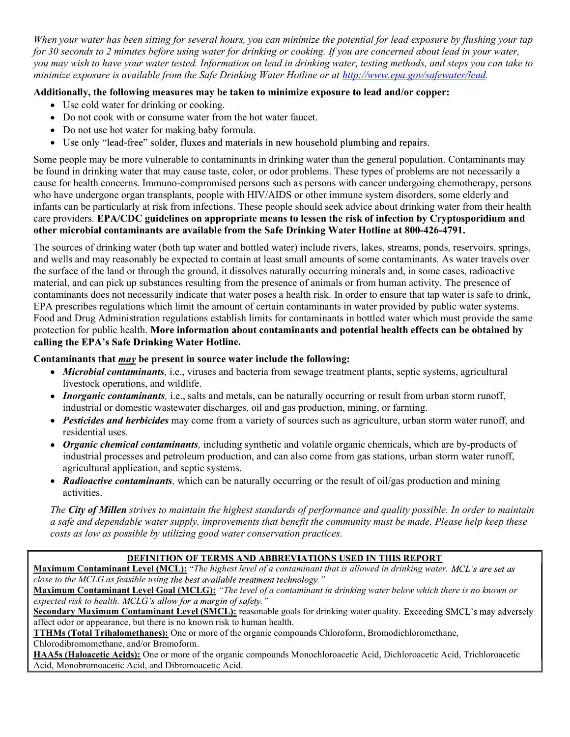When your water has been sitting for several hours, you can minimize the potential for lead exposure by flushing your tap for 30 seconds to 2 minutes before using water for drinking or cooking. If you are concerned about lead in your water, you may wish to have your water tested. Information on lead in drinking water, testing methods, and steps you can take to minimize exposure is available from the Safe Drinking Water Hotline or at http://www.epa.gov/safewater/lead.

### Additionally, the following measures may be taken to minimize exposure to lead and/or copper:

- Use cold water for drinking or cooking.
- Do not cook with or consume water from the hot water faucet.
- Do not use hot water for making baby formula.
- Use only "lead-free" solder, fluxes and materials in new household plumbing and repairs.

Some people may be more vulnerable to contaminants in drinking water than the general population. Contaminants may be found in drinking water that may cause taste, color, or odor problems. These types of problems are not necessarily a cause for health concerns. Immuno-compromised persons such as persons with cancer undergoing chemotherapy, persons who have undergone organ transplants, people with HIV/AIDS or other immune system disorders, some elderly and infants can be particularly at risk from infections. These people should seek advice about drinking water from their health care providers. EPA/CDC guidelines on appropriate means to lessen the risk of infection by Cryptosporidium and other microbial contaminants are available from the Safe Drinking Water Hotline at 800-426-4791.

The sources of drinking water (both tap water and bottled water) include rivers, lakes, streams, ponds, reservoirs, springs, and wells and may reasonably be expected to contain at least small amounts of some contaminants. As water travels over the surface of the land or through the ground, it dissolves naturally occurring minerals and, in some cases, radioactive material, and can pick up substances resulting from the presence of animals or from human activity. The presence of contaminants does not necessarily indicate that water poses a health risk. In order to ensure that tap water is safe to drink, EPA prescribes regulations which limit the amount of certain contaminants in water provided by public water systems. Food and Drug Administration regulations establish limits for contaminants in bottled water which must provide the same protection for public health. More information about contaminants and potential health effects can be obtained by calling the EPA's Safe Drinking Water Hotline.

### Contaminants that may be present in source water include the following:

- *Microbial contaminants*, i.e., viruses and bacteria from sewage treatment plants, septic systems, agricultural livestock operations, and wildlife.
- *Inorganic contaminants*, i.e., salts and metals, can be naturally occurring or result from urban storm runoff, industrial or domestic wastewater discharges, oil and gas production, mining, or farming.
- Pesticides and herbicides may come from a variety of sources such as agriculture, urban storm water runoff, and residential uses.
- Organic chemical contaminants, including synthetic and volatile organic chemicals, which are by-products of industrial processes and petroleum production, and can also come from gas stations, urban storm water runoff, agricultural application, and septic systems.
- Radioactive contaminants, which can be naturally occurring or the result of oil/gas production and mining activities.

The City of Millen strives to maintain the highest standards of performance and quality possible. In order to maintain a safe and dependable water supply, improvements that benefit the community must be made. Please help keep these costs as low as possible by utilizing good water conservation practices.

# DEFINITION OF TERMS AND ABBREVIATIONS USED IN THIS REPORT

Maximum Contaminant Level (MCL): "The highest level of a contaminant that is allowed in drinking water. MCL's are set as close to the MCLG as feasible using the best available treatment technology."

Maximum Contaminant Level Goal (MCLG): "The level of a contaminant in drinking water below which there is no known or expected risk to health. MCLG's allow for a margin of safety."

Secondary Maximum Contaminant Level (SMCL): reasonable goals for drinking water quality. Exceeding SMCL's may adversely affect odor or appearance, but there is no known risk to human health.

TTHMs (Total Trihalomethanes): One or more of the organic compounds Chloroform, Bromodichloromethane, Chlorodibromomethane, and/or Bromoform.

HAA5s (Haloacetic Acids): One or more of the organic compounds Monochloroacetic Acid, Dichloroacetic Acid, Trichloroacetic Acid, Monobromoacetic Acid, and Dibromoacetic Acid.